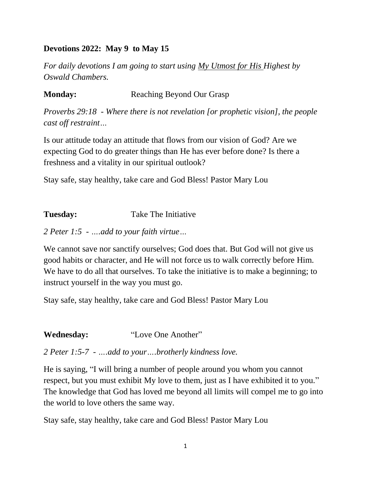#### **Devotions 2022: May 9 to May 15**

*For daily devotions I am going to start using My Utmost for His Highest by Oswald Chambers.*

## **Monday:** Reaching Beyond Our Grasp

*Proverbs 29:18 - Where there is not revelation [or prophetic vision], the people cast off restraint…*

Is our attitude today an attitude that flows from our vision of God? Are we expecting God to do greater things than He has ever before done? Is there a freshness and a vitality in our spiritual outlook?

Stay safe, stay healthy, take care and God Bless! Pastor Mary Lou

## **Tuesday:** Take The Initiative

*2 Peter 1:5 - ….add to your faith virtue…*

We cannot save nor sanctify ourselves; God does that. But God will not give us good habits or character, and He will not force us to walk correctly before Him. We have to do all that ourselves. To take the initiative is to make a beginning; to instruct yourself in the way you must go.

Stay safe, stay healthy, take care and God Bless! Pastor Mary Lou

**Wednesday:** "Love One Another"

*2 Peter 1:5-7 - ….add to your….brotherly kindness love.*

He is saying, "I will bring a number of people around you whom you cannot respect, but you must exhibit My love to them, just as I have exhibited it to you." The knowledge that God has loved me beyond all limits will compel me to go into the world to love others the same way.

Stay safe, stay healthy, take care and God Bless! Pastor Mary Lou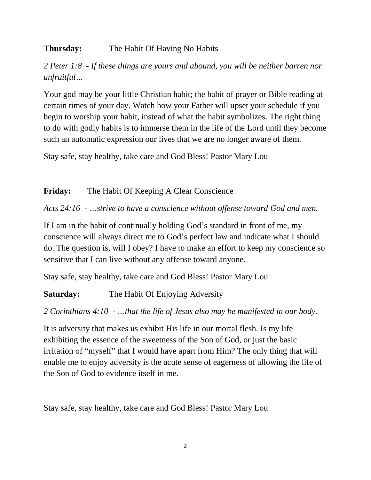# **Thursday:** The Habit Of Having No Habits

*2 Peter 1:8 - If these things are yours and abound, you will be neither barren nor unfruitful…*

Your god may be your little Christian habit; the habit of prayer or Bible reading at certain times of your day. Watch how your Father will upset your schedule if you begin to worship your habit, instead of what the habit symbolizes. The right thing to do with godly habits is to immerse them in the life of the Lord until they become such an automatic expression our lives that we are no longer aware of them.

Stay safe, stay healthy, take care and God Bless! Pastor Mary Lou

## **Friday:** The Habit Of Keeping A Clear Conscience

*Acts 24:16 - …strive to have a conscience without offense toward God and men.*

If I am in the habit of continually holding God's standard in front of me, my conscience will always direct me to God's perfect law and indicate what I should do. The question is, will I obey? I have to make an effort to keep my conscience so sensitive that I can live without any offense toward anyone.

Stay safe, stay healthy, take care and God Bless! Pastor Mary Lou

# **Saturday:** The Habit Of Enjoying Adversity

# *2 Corinthians 4:10 - …that the life of Jesus also may be manifested in our body.*

It is adversity that makes us exhibit His life in our mortal flesh. Is my life exhibiting the essence of the sweetness of the Son of God, or just the basic irritation of "myself" that I would have apart from Him? The only thing that will enable me to enjoy adversity is the acute sense of eagerness of allowing the life of the Son of God to evidence itself in me.

Stay safe, stay healthy, take care and God Bless! Pastor Mary Lou